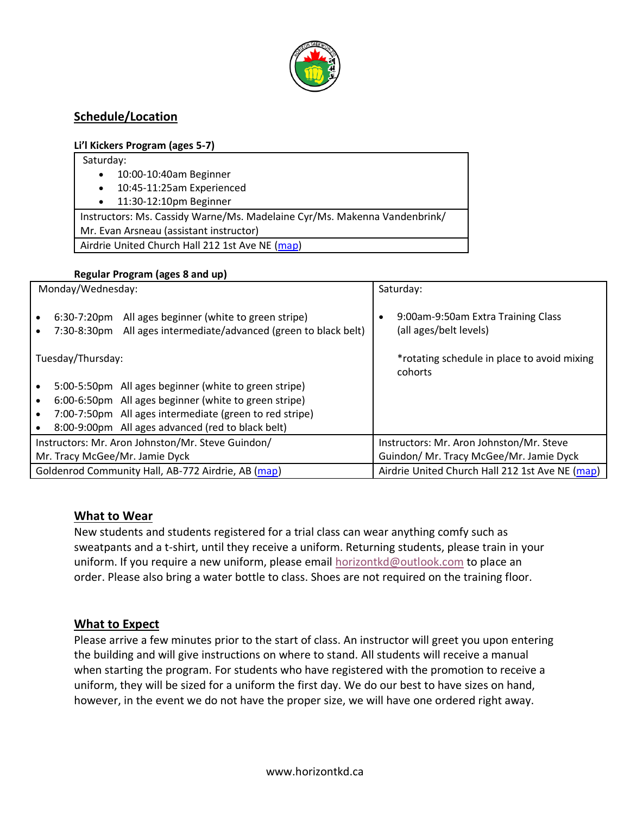

# **Schedule/Location**

#### **Li'l Kickers Program (ages 5-7)**

| Saturday:                                                                 |  |  |  |  |  |
|---------------------------------------------------------------------------|--|--|--|--|--|
| 10:00-10:40am Beginner<br>$\bullet$                                       |  |  |  |  |  |
| 10:45-11:25am Experienced<br>$\bullet$                                    |  |  |  |  |  |
| 11:30-12:10pm Beginner<br>$\bullet$                                       |  |  |  |  |  |
| Instructors: Ms. Cassidy Warne/Ms. Madelaine Cyr/Ms. Makenna Vandenbrink/ |  |  |  |  |  |
| Mr. Evan Arsneau (assistant instructor)                                   |  |  |  |  |  |
| Airdrie United Church Hall 212 1st Ave NE (map)                           |  |  |  |  |  |
|                                                                           |  |  |  |  |  |

#### **Regular Program (ages 8 and up)**

| Monday/Wednesday:                                  |                               |                                                                                                   | Saturday:                                       |                                                              |
|----------------------------------------------------|-------------------------------|---------------------------------------------------------------------------------------------------|-------------------------------------------------|--------------------------------------------------------------|
|                                                    | $6:30-7:20$ pm<br>7:30-8:30pm | All ages beginner (white to green stripe)<br>All ages intermediate/advanced (green to black belt) | $\bullet$                                       | 9:00am-9:50am Extra Training Class<br>(all ages/belt levels) |
| Tuesday/Thursday:                                  |                               |                                                                                                   |                                                 | *rotating schedule in place to avoid mixing<br>cohorts       |
|                                                    |                               | 5:00-5:50pm All ages beginner (white to green stripe)                                             |                                                 |                                                              |
|                                                    |                               | 6:00-6:50pm All ages beginner (white to green stripe)                                             |                                                 |                                                              |
|                                                    |                               | 7:00-7:50pm All ages intermediate (green to red stripe)                                           |                                                 |                                                              |
|                                                    |                               | 8:00-9:00pm All ages advanced (red to black belt)                                                 |                                                 |                                                              |
| Instructors: Mr. Aron Johnston/Mr. Steve Guindon/  |                               |                                                                                                   |                                                 | Instructors: Mr. Aron Johnston/Mr. Steve                     |
| Mr. Tracy McGee/Mr. Jamie Dyck                     |                               |                                                                                                   |                                                 | Guindon/ Mr. Tracy McGee/Mr. Jamie Dyck                      |
| Goldenrod Community Hall, AB-772 Airdrie, AB (map) |                               |                                                                                                   | Airdrie United Church Hall 212 1st Ave NE (map) |                                                              |

### **What to Wear**

New students and students registered for a trial class can wear anything comfy such as sweatpants and a t-shirt, until they receive a uniform. Returning students, please train in your uniform. If you require a new uniform, please email [horizontkd@outlook.com](mailto:horizontkd@outlook.com) to place an order. Please also bring a water bottle to class. Shoes are not required on the training floor.

### **What to Expect**

Please arrive a few minutes prior to the start of class. An instructor will greet you upon entering the building and will give instructions on where to stand. All students will receive a manual when starting the program. For students who have registered with the promotion to receive a uniform, they will be sized for a uniform the first day. We do our best to have sizes on hand, however, in the event we do not have the proper size, we will have one ordered right away.